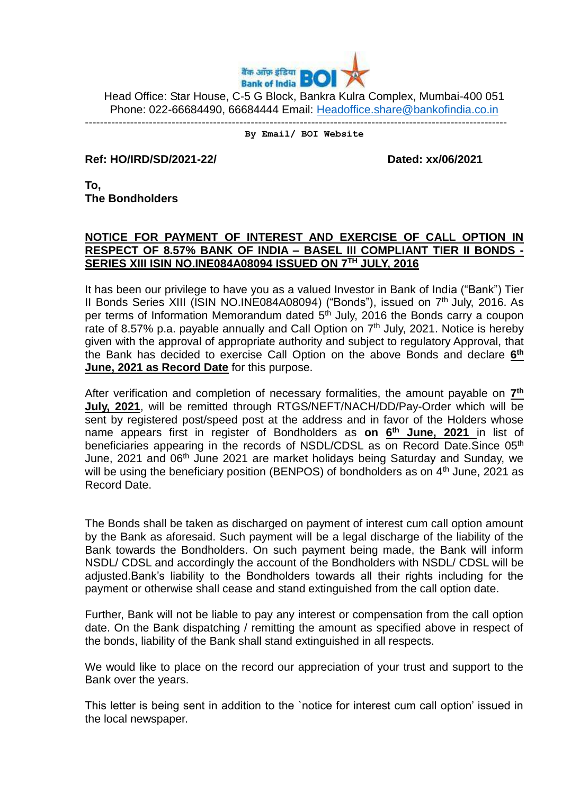

Head Office: Star House, C-5 G Block, Bankra Kulra Complex, Mumbai-400 051 Phone: 022-66684490, 66684444 Email: [Headoffice.share@bankofindia.co.in](mailto:Headoffice.share@bankofindia.co.in)

## ---------------------------------------------------------------------------------------------------------------- **By Email/ BOI Website**

**Ref: HO/IRD/SD/2021-22/ Dated: xx/06/2021** 

**To, The Bondholders**

## **NOTICE FOR PAYMENT OF INTEREST AND EXERCISE OF CALL OPTION IN RESPECT OF 8.57% BANK OF INDIA – BASEL III COMPLIANT TIER II BONDS - SERIES XIII ISIN NO.INE084A08094 ISSUED ON 7 TH JULY, 2016**

It has been our privilege to have you as a valued Investor in Bank of India ("Bank") Tier II Bonds Series XIII (ISIN NO.INE084A08094) ("Bonds"), issued on 7<sup>th</sup> July, 2016. As per terms of Information Memorandum dated 5<sup>th</sup> July, 2016 the Bonds carry a coupon rate of 8.57% p.a. payable annually and Call Option on 7<sup>th</sup> July, 2021. Notice is hereby given with the approval of appropriate authority and subject to regulatory Approval, that the Bank has decided to exercise Call Option on the above Bonds and declare **6 th June, 2021 as Record Date** for this purpose.

After verification and completion of necessary formalities, the amount payable on  $\mathbf{Z}^{\text{th}}$ **July, 2021**, will be remitted through RTGS/NEFT/NACH/DD/Pay-Order which will be sent by registered post/speed post at the address and in favor of the Holders whose name appears first in register of Bondholders as **on 6 th June, 2021** in list of beneficiaries appearing in the records of NSDL/CDSL as on Record Date.Since 05<sup>th</sup> June, 2021 and 06<sup>th</sup> June 2021 are market holidays being Saturday and Sunday, we will be using the beneficiary position (BENPOS) of bondholders as on 4<sup>th</sup> June, 2021 as Record Date.

The Bonds shall be taken as discharged on payment of interest cum call option amount by the Bank as aforesaid. Such payment will be a legal discharge of the liability of the Bank towards the Bondholders. On such payment being made, the Bank will inform NSDL/ CDSL and accordingly the account of the Bondholders with NSDL/ CDSL will be adjusted.Bank's liability to the Bondholders towards all their rights including for the payment or otherwise shall cease and stand extinguished from the call option date.

Further, Bank will not be liable to pay any interest or compensation from the call option date. On the Bank dispatching / remitting the amount as specified above in respect of the bonds, liability of the Bank shall stand extinguished in all respects.

We would like to place on the record our appreciation of your trust and support to the Bank over the years.

This letter is being sent in addition to the `notice for interest cum call option' issued in the local newspaper.